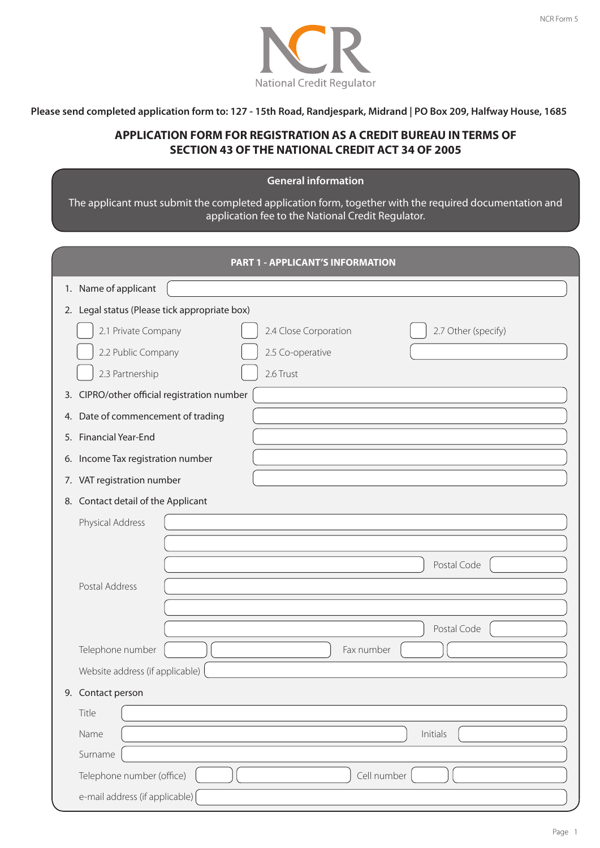

Please send completed application form to: 127 - 15th Road, Randjespark, Midrand | PO Box 209, Halfway House, 1685

# **APPLICATION FORM FOR REGISTRATION AS A CREDIT BUREAU IN TERMS OF SECTION 43 OF THE NATIONAL CREDIT ACT 34 OF 2005**

## **General information-**

The applicant must submit the completed application form, together with the required documentation and application fee to the National Credit Regulator.

|                                               | <b>PART 1 - APPLICANT'S INFORMATION</b>                          |
|-----------------------------------------------|------------------------------------------------------------------|
| 1. Name of applicant                          |                                                                  |
| 2. Legal status (Please tick appropriate box) |                                                                  |
| 2.1 Private Company<br>2.2 Public Company     | 2.7 Other (specify)<br>2.4 Close Corporation<br>2.5 Co-operative |
| 2.3 Partnership                               | 2.6 Trust                                                        |
| 3. CIPRO/other official registration number   |                                                                  |
| Date of commencement of trading<br>4.         |                                                                  |
| <b>Financial Year-End</b><br>5.               |                                                                  |
| 6. Income Tax registration number             |                                                                  |
| 7. VAT registration number                    |                                                                  |
| 8. Contact detail of the Applicant            |                                                                  |
| Physical Address                              |                                                                  |
| Postal Address                                | Postal Code                                                      |
|                                               | Postal Code                                                      |
| Telephone number                              | Fax number                                                       |
| Website address (if applicable)               |                                                                  |
| 9. Contact person                             |                                                                  |
| Title                                         |                                                                  |
| Name                                          | Initials                                                         |
| Surname                                       |                                                                  |
| Telephone number (office)                     | Cell number                                                      |
| e-mail address (if applicable)                |                                                                  |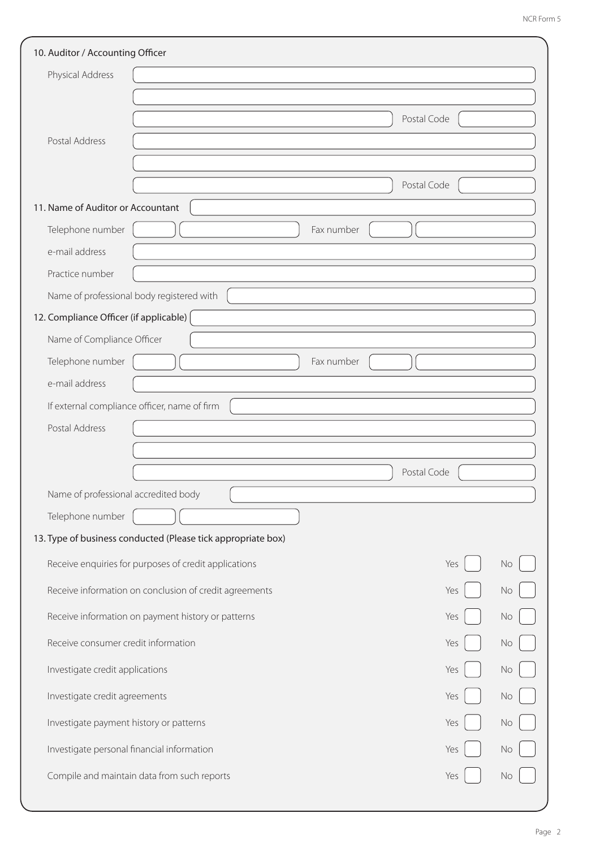| 10. Auditor / Accounting Officer                             |             |    |
|--------------------------------------------------------------|-------------|----|
| Physical Address                                             |             |    |
|                                                              |             |    |
|                                                              | Postal Code |    |
| Postal Address                                               |             |    |
|                                                              |             |    |
|                                                              | Postal Code |    |
| 11. Name of Auditor or Accountant                            |             |    |
| Telephone number                                             | Fax number  |    |
| e-mail address                                               |             |    |
| Practice number                                              |             |    |
| Name of professional body registered with                    |             |    |
| 12. Compliance Officer (if applicable)                       |             |    |
| Name of Compliance Officer                                   |             |    |
| Telephone number                                             | Fax number  |    |
| e-mail address                                               |             |    |
| If external compliance officer, name of firm                 |             |    |
| Postal Address                                               |             |    |
|                                                              |             |    |
|                                                              | Postal Code |    |
| Name of professional accredited body                         |             |    |
| Telephone number                                             |             |    |
| 13. Type of business conducted (Please tick appropriate box) |             |    |
| Receive enquiries for purposes of credit applications        | Yes         | No |
| Receive information on conclusion of credit agreements       | Yes         | No |
| Receive information on payment history or patterns           | Yes         | No |
| Receive consumer credit information                          | Yes         | No |
| Investigate credit applications                              | Yes         | No |
| Investigate credit agreements                                | Yes         | No |
| Investigate payment history or patterns                      | Yes         | No |
| Investigate personal financial information                   | Yes         | No |
| Compile and maintain data from such reports                  | Yes         | No |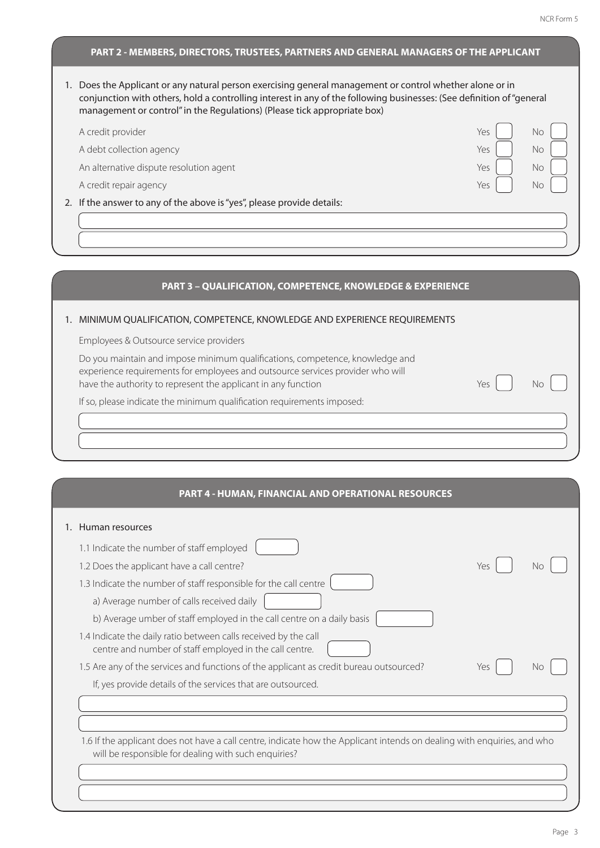### **PART 2 - MEMBERS, DIRECTORS, TRUSTEES, PARTNERS AND GENERAL MANAGERS OF THE APPLICANT**

1. Does the Applicant or any natural person exercising general management or control whether alone or in conjunction with others, hold a controlling interest in any of the following businesses: (See definition of "general management or control" in the Regulations) (Please tick appropriate box)

| A credit provider                                                      | No<br>Yes |
|------------------------------------------------------------------------|-----------|
| A debt collection agency                                               | Yes<br>No |
| An alternative dispute resolution agent                                | Yes<br>No |
| A credit repair agency                                                 | Nο<br>Yes |
| 2. If the answer to any of the above is "yes", please provide details: |           |
|                                                                        |           |
|                                                                        |           |

#### **PART 3 – QUALIFICATION, COMPETENCE, KNOWLEDGE & EXPERIENCE**

#### 1. MINIMUM QUALIFICATION, COMPETENCE, KNOWLEDGE AND EXPERIENCE REQUIREMENTS

Employees & Outsource service providers

Do you maintain and impose minimum qualifications, competence, knowledge and experience requirements for employees and outsource services provider who will have the authority to represent the applicant in any function  $Yes \mid \cdot$  No

If so, please indicate the minimum qualification requirements imposed:

#### **PART 4 - HUMAN, FINANCIAL AND OPERATIONAL RESOURCES**

| 1. Human resources                                                                                                                                                              |     |    |
|---------------------------------------------------------------------------------------------------------------------------------------------------------------------------------|-----|----|
| 1.1 Indicate the number of staff employed                                                                                                                                       |     |    |
| 1.2 Does the applicant have a call centre?                                                                                                                                      | Yes | Nο |
| 1.3 Indicate the number of staff responsible for the call centre                                                                                                                |     |    |
| a) Average number of calls received daily                                                                                                                                       |     |    |
| b) Average umber of staff employed in the call centre on a daily basis                                                                                                          |     |    |
| 1.4 Indicate the daily ratio between calls received by the call<br>centre and number of staff employed in the call centre.                                                      |     |    |
| 1.5 Are any of the services and functions of the applicant as credit bureau outsourced?                                                                                         | Yes | No |
| If, yes provide details of the services that are outsourced.                                                                                                                    |     |    |
|                                                                                                                                                                                 |     |    |
|                                                                                                                                                                                 |     |    |
| 1.6 If the applicant does not have a call centre, indicate how the Applicant intends on dealing with enquiries, and who<br>will be responsible for dealing with such enquiries? |     |    |
|                                                                                                                                                                                 |     |    |
|                                                                                                                                                                                 |     |    |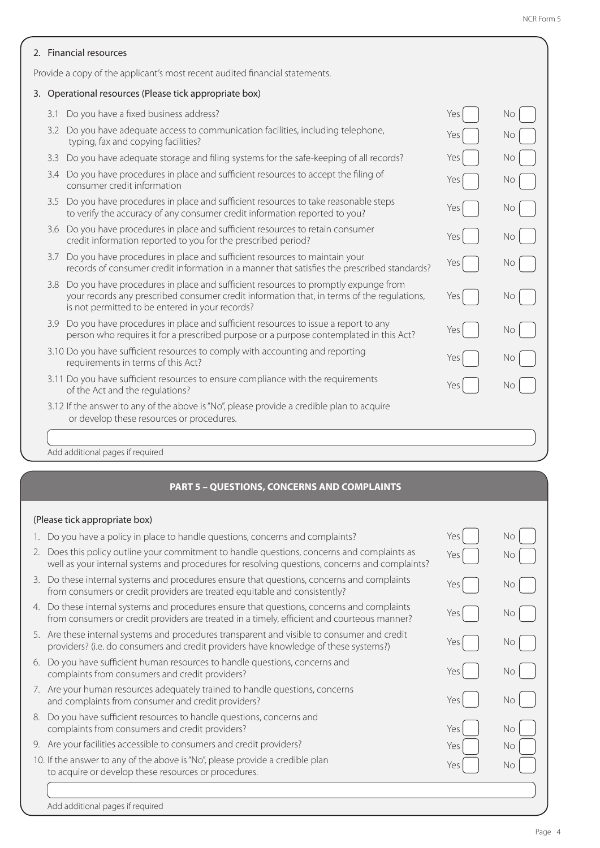| 2. Financial resources                                                      |                                                                                                                                                                                                                                    |     |           |  |
|-----------------------------------------------------------------------------|------------------------------------------------------------------------------------------------------------------------------------------------------------------------------------------------------------------------------------|-----|-----------|--|
| Provide a copy of the applicant's most recent audited financial statements. |                                                                                                                                                                                                                                    |     |           |  |
|                                                                             | 3. Operational resources (Please tick appropriate box)                                                                                                                                                                             |     |           |  |
| 3.1                                                                         | Do you have a fixed business address?                                                                                                                                                                                              | Yes | <b>No</b> |  |
| 3.2                                                                         | Do you have adequate access to communication facilities, including telephone,<br>typing, fax and copying facilities?                                                                                                               | Yes | No        |  |
| 3.3                                                                         | Do you have adequate storage and filing systems for the safe-keeping of all records?                                                                                                                                               | Yes | No        |  |
| 3.4                                                                         | Do you have procedures in place and sufficient resources to accept the filing of<br>consumer credit information                                                                                                                    | Yes | No        |  |
|                                                                             | 3.5 Do you have procedures in place and sufficient resources to take reasonable steps<br>to verify the accuracy of any consumer credit information reported to you?                                                                | Yes | No        |  |
| 3.6                                                                         | Do you have procedures in place and sufficient resources to retain consumer<br>credit information reported to you for the prescribed period?                                                                                       | Yes | No        |  |
| 3.7                                                                         | Do you have procedures in place and sufficient resources to maintain your<br>records of consumer credit information in a manner that satisfies the prescribed standards?                                                           | Yes | No        |  |
| 3.8                                                                         | Do you have procedures in place and sufficient resources to promptly expunge from<br>your records any prescribed consumer credit information that, in terms of the regulations,<br>is not permitted to be entered in your records? | Yes | No.       |  |
|                                                                             | 3.9 Do you have procedures in place and sufficient resources to issue a report to any<br>person who requires it for a prescribed purpose or a purpose contemplated in this Act?                                                    | Yes | No        |  |
|                                                                             | 3.10 Do you have sufficient resources to comply with accounting and reporting<br>requirements in terms of this Act?                                                                                                                | Yes | No        |  |
|                                                                             | 3.11 Do you have sufficient resources to ensure compliance with the requirements<br>of the Act and the regulations?                                                                                                                | Yes | No        |  |
|                                                                             | 3.12 If the answer to any of the above is "No", please provide a credible plan to acquire<br>or develop these resources or procedures.                                                                                             |     |           |  |
|                                                                             |                                                                                                                                                                                                                                    |     |           |  |
|                                                                             | Add additional pages if required                                                                                                                                                                                                   |     |           |  |

## **PART 5 – QUESTIONS, CONCERNS AND COMPLAINTS**

# (Please tick appropriate box)

| 1. Do you have a policy in place to handle questions, concerns and complaints?                                                                                                                | Yes | No   |
|-----------------------------------------------------------------------------------------------------------------------------------------------------------------------------------------------|-----|------|
| 2. Does this policy outline your commitment to handle questions, concerns and complaints as<br>well as your internal systems and procedures for resolving questions, concerns and complaints? | Yes | No.  |
| 3. Do these internal systems and procedures ensure that questions, concerns and complaints<br>from consumers or credit providers are treated equitable and consistently?                      | Yes | No.  |
| 4. Do these internal systems and procedures ensure that questions, concerns and complaints<br>from consumers or credit providers are treated in a timely, efficient and courteous manner?     | Yes | No.  |
| 5. Are these internal systems and procedures transparent and visible to consumer and credit<br>providers? (i.e. do consumers and credit providers have knowledge of these systems?)           | Yes | No.  |
| 6. Do you have sufficient human resources to handle questions, concerns and<br>complaints from consumers and credit providers?                                                                | Yes | No.  |
| 7. Are your human resources adequately trained to handle questions, concerns<br>and complaints from consumer and credit providers?                                                            | Yes | No l |
| 8. Do you have sufficient resources to handle questions, concerns and<br>complaints from consumers and credit providers?                                                                      | Yes | No.  |
| 9. Are your facilities accessible to consumers and credit providers?                                                                                                                          | Yes | No.  |
| 10. If the answer to any of the above is "No", please provide a credible plan<br>to acquire or develop these resources or procedures.                                                         | Yes | No.  |
|                                                                                                                                                                                               |     |      |
| Add additional pages if required                                                                                                                                                              |     |      |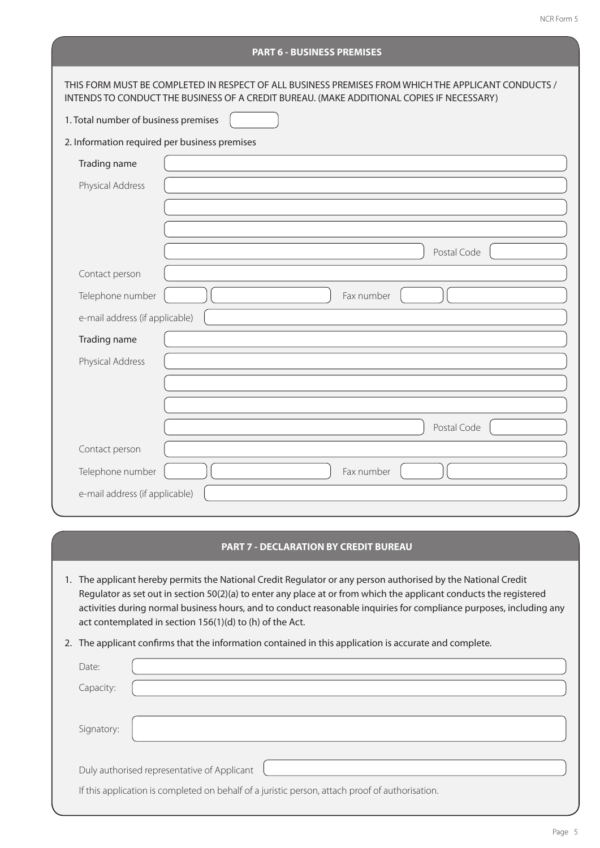| <b>PART 6 - BUSINESS PREMISES</b>             |                                                                                                                                                                                                  |  |  |
|-----------------------------------------------|--------------------------------------------------------------------------------------------------------------------------------------------------------------------------------------------------|--|--|
|                                               | THIS FORM MUST BE COMPLETED IN RESPECT OF ALL BUSINESS PREMISES FROM WHICH THE APPLICANT CONDUCTS /<br>INTENDS TO CONDUCT THE BUSINESS OF A CREDIT BUREAU. (MAKE ADDITIONAL COPIES IF NECESSARY) |  |  |
| 1. Total number of business premises          |                                                                                                                                                                                                  |  |  |
| 2. Information required per business premises |                                                                                                                                                                                                  |  |  |
| Trading name                                  |                                                                                                                                                                                                  |  |  |
| Physical Address                              |                                                                                                                                                                                                  |  |  |
|                                               |                                                                                                                                                                                                  |  |  |
|                                               |                                                                                                                                                                                                  |  |  |
|                                               | Postal Code                                                                                                                                                                                      |  |  |
| Contact person                                |                                                                                                                                                                                                  |  |  |
| Telephone number                              | Fax number                                                                                                                                                                                       |  |  |
| e-mail address (if applicable)                |                                                                                                                                                                                                  |  |  |
| Trading name                                  |                                                                                                                                                                                                  |  |  |
| Physical Address                              |                                                                                                                                                                                                  |  |  |
|                                               |                                                                                                                                                                                                  |  |  |
|                                               |                                                                                                                                                                                                  |  |  |
|                                               | Postal Code                                                                                                                                                                                      |  |  |
| Contact person                                |                                                                                                                                                                                                  |  |  |
| Telephone number                              | Fax number                                                                                                                                                                                       |  |  |
| e-mail address (if applicable)                |                                                                                                                                                                                                  |  |  |
|                                               |                                                                                                                                                                                                  |  |  |

## **PART 7 - DECLARATION BY CREDIT BUREAU**

- 1. The applicant hereby permits the National Credit Regulator or any person authorised by the National Credit Regulator as set out in section 50(2)(a) to enter any place at or from which the applicant conducts the registered activities during normal business hours, and to conduct reasonable inquiries for compliance purposes, including any act contemplated in section 156(1)(d) to (h) of the Act.
- 2. The applicant confirms that the information contained in this application is accurate and complete.

| Date:      |                                                                                                 |
|------------|-------------------------------------------------------------------------------------------------|
| Capacity:  |                                                                                                 |
| Signatory: |                                                                                                 |
|            | Duly authorised representative of Applicant                                                     |
|            | If this application is completed on behalf of a juristic person, attach proof of authorisation. |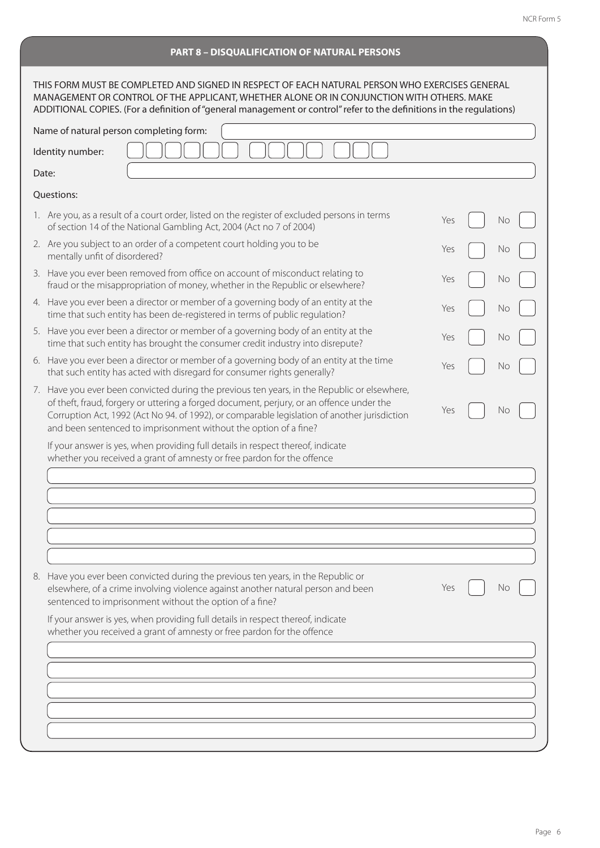|  |  | <b>PART 8 - DISQUALIFICATION OF NATURAL PERSONS</b> |
|--|--|-----------------------------------------------------|
|  |  |                                                     |

| THIS FORM MUST BE COMPLETED AND SIGNED IN RESPECT OF EACH NATURAL PERSON WHO EXERCISES GENERAL<br>MANAGEMENT OR CONTROL OF THE APPLICANT, WHETHER ALONE OR IN CONJUNCTION WITH OTHERS. MAKE<br>ADDITIONAL COPIES. (For a definition of "general management or control" refer to the definitions in the regulations)                                          |     |  |    |
|--------------------------------------------------------------------------------------------------------------------------------------------------------------------------------------------------------------------------------------------------------------------------------------------------------------------------------------------------------------|-----|--|----|
| Name of natural person completing form:                                                                                                                                                                                                                                                                                                                      |     |  |    |
| Identity number:                                                                                                                                                                                                                                                                                                                                             |     |  |    |
| Date:                                                                                                                                                                                                                                                                                                                                                        |     |  |    |
| Questions:                                                                                                                                                                                                                                                                                                                                                   |     |  |    |
| 1. Are you, as a result of a court order, listed on the register of excluded persons in terms<br>of section 14 of the National Gambling Act, 2004 (Act no 7 of 2004)                                                                                                                                                                                         | Yes |  | No |
| 2. Are you subject to an order of a competent court holding you to be<br>mentally unfit of disordered?                                                                                                                                                                                                                                                       | Yes |  | No |
| 3. Have you ever been removed from office on account of misconduct relating to<br>fraud or the misappropriation of money, whether in the Republic or elsewhere?                                                                                                                                                                                              | Yes |  | No |
| 4. Have you ever been a director or member of a governing body of an entity at the<br>time that such entity has been de-registered in terms of public regulation?                                                                                                                                                                                            | Yes |  | No |
| 5. Have you ever been a director or member of a governing body of an entity at the<br>time that such entity has brought the consumer credit industry into disrepute?                                                                                                                                                                                         | Yes |  | No |
| 6. Have you ever been a director or member of a governing body of an entity at the time<br>that such entity has acted with disregard for consumer rights generally?                                                                                                                                                                                          | Yes |  | No |
| 7. Have you ever been convicted during the previous ten years, in the Republic or elsewhere,<br>of theft, fraud, forgery or uttering a forged document, perjury, or an offence under the<br>Corruption Act, 1992 (Act No 94. of 1992), or comparable legislation of another jurisdiction<br>and been sentenced to imprisonment without the option of a fine? | Yes |  | No |
| If your answer is yes, when providing full details in respect thereof, indicate<br>whether you received a grant of amnesty or free pardon for the offence                                                                                                                                                                                                    |     |  |    |
|                                                                                                                                                                                                                                                                                                                                                              |     |  |    |
|                                                                                                                                                                                                                                                                                                                                                              |     |  |    |
| 8. Have you ever been convicted during the previous ten years, in the Republic or<br>elsewhere, of a crime involving violence against another natural person and been<br>sentenced to imprisonment without the option of a fine?                                                                                                                             | Yes |  | No |
| If your answer is yes, when providing full details in respect thereof, indicate<br>whether you received a grant of amnesty or free pardon for the offence                                                                                                                                                                                                    |     |  |    |
|                                                                                                                                                                                                                                                                                                                                                              |     |  |    |
|                                                                                                                                                                                                                                                                                                                                                              |     |  |    |
|                                                                                                                                                                                                                                                                                                                                                              |     |  |    |
|                                                                                                                                                                                                                                                                                                                                                              |     |  |    |
|                                                                                                                                                                                                                                                                                                                                                              |     |  |    |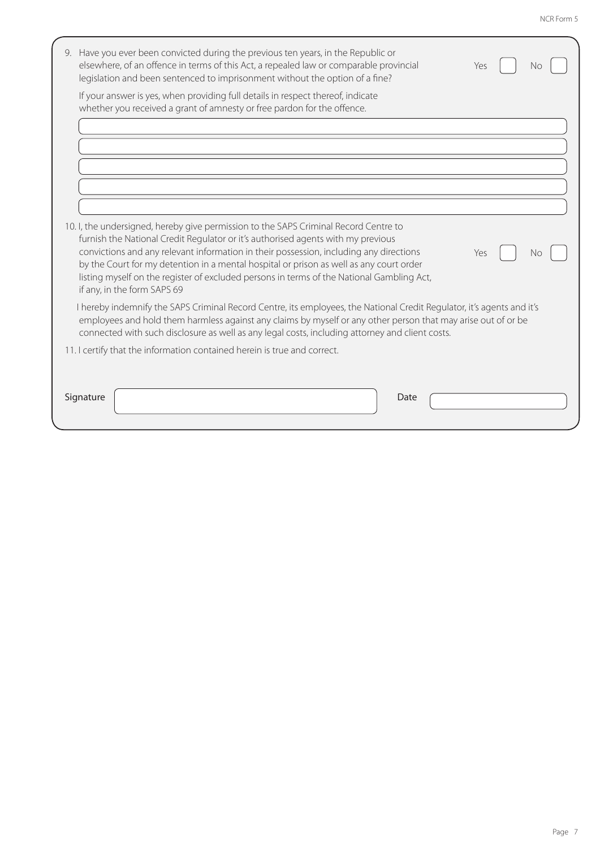| 9. Have you ever been convicted during the previous ten years, in the Republic or<br>elsewhere, of an offence in terms of this Act, a repealed law or comparable provincial<br>Yes<br>No<br>legislation and been sentenced to imprisonment without the option of a fine?                                                                                                                                                                                                                               |
|--------------------------------------------------------------------------------------------------------------------------------------------------------------------------------------------------------------------------------------------------------------------------------------------------------------------------------------------------------------------------------------------------------------------------------------------------------------------------------------------------------|
| If your answer is yes, when providing full details in respect thereof, indicate<br>whether you received a grant of amnesty or free pardon for the offence.                                                                                                                                                                                                                                                                                                                                             |
|                                                                                                                                                                                                                                                                                                                                                                                                                                                                                                        |
|                                                                                                                                                                                                                                                                                                                                                                                                                                                                                                        |
|                                                                                                                                                                                                                                                                                                                                                                                                                                                                                                        |
| 10. I, the undersigned, hereby give permission to the SAPS Criminal Record Centre to<br>furnish the National Credit Regulator or it's authorised agents with my previous<br>convictions and any relevant information in their possession, including any directions<br>Yes<br>No<br>by the Court for my detention in a mental hospital or prison as well as any court order<br>listing myself on the register of excluded persons in terms of the National Gambling Act,<br>if any, in the form SAPS 69 |
| I hereby indemnify the SAPS Criminal Record Centre, its employees, the National Credit Regulator, it's agents and it's<br>employees and hold them harmless against any claims by myself or any other person that may arise out of or be<br>connected with such disclosure as well as any legal costs, including attorney and client costs.                                                                                                                                                             |
| 11. I certify that the information contained herein is true and correct.                                                                                                                                                                                                                                                                                                                                                                                                                               |
| Signature<br>Date                                                                                                                                                                                                                                                                                                                                                                                                                                                                                      |
|                                                                                                                                                                                                                                                                                                                                                                                                                                                                                                        |